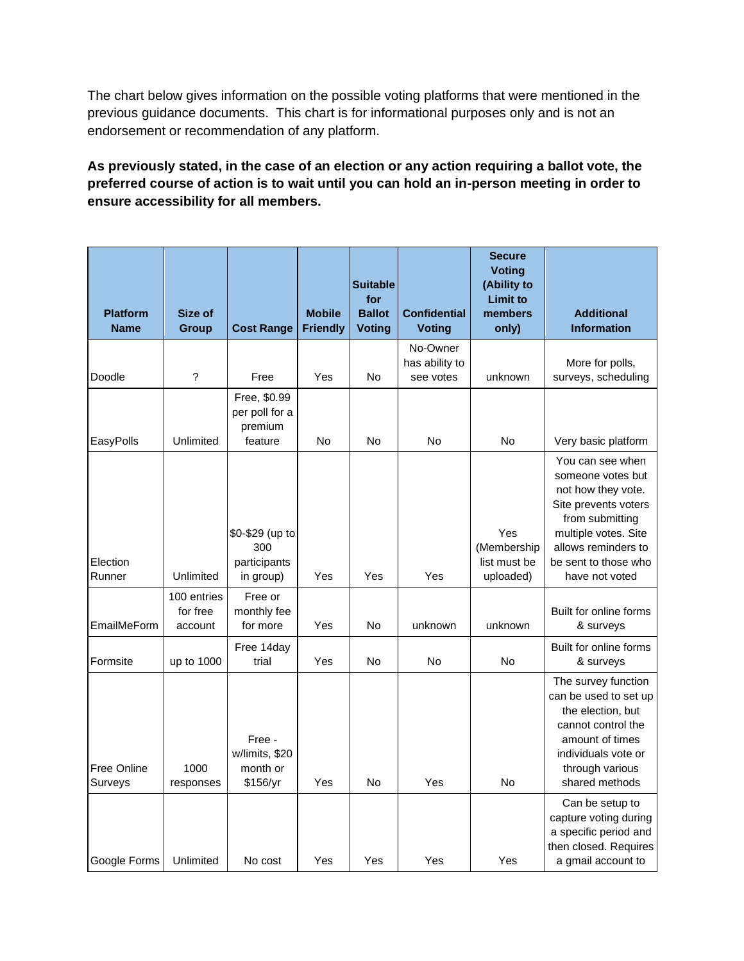The chart below gives information on the possible voting platforms that were mentioned in the previous guidance documents. This chart is for informational purposes only and is not an endorsement or recommendation of any platform.

## **As previously stated, in the case of an election or any action requiring a ballot vote, the preferred course of action is to wait until you can hold an in-person meeting in order to ensure accessibility for all members.**

| <b>Platform</b><br><b>Name</b> | Size of<br><b>Group</b>            | <b>Cost Range</b>                                    | <b>Mobile</b><br><b>Friendly</b> | <b>Suitable</b><br>for<br><b>Ballot</b><br><b>Voting</b> | <b>Confidential</b><br><b>Voting</b> | <b>Secure</b><br><b>Voting</b><br>(Ability to<br><b>Limit to</b><br>members<br>only) | <b>Additional</b><br><b>Information</b>                                                                                                                                                         |
|--------------------------------|------------------------------------|------------------------------------------------------|----------------------------------|----------------------------------------------------------|--------------------------------------|--------------------------------------------------------------------------------------|-------------------------------------------------------------------------------------------------------------------------------------------------------------------------------------------------|
|                                |                                    |                                                      |                                  |                                                          | No-Owner                             |                                                                                      |                                                                                                                                                                                                 |
| Doodle                         | ?                                  | Free                                                 | Yes                              | <b>No</b>                                                | has ability to<br>see votes          | unknown                                                                              | More for polls,<br>surveys, scheduling                                                                                                                                                          |
| EasyPolls                      | Unlimited                          | Free, \$0.99<br>per poll for a<br>premium<br>feature | No                               | No                                                       | No                                   | No                                                                                   | Very basic platform                                                                                                                                                                             |
| Election<br>Runner             | Unlimited                          | \$0-\$29 (up to<br>300<br>participants<br>in group)  | Yes                              | Yes                                                      | Yes                                  | Yes<br>(Membership<br>list must be<br>uploaded)                                      | You can see when<br>someone votes but<br>not how they vote.<br>Site prevents voters<br>from submitting<br>multiple votes. Site<br>allows reminders to<br>be sent to those who<br>have not voted |
| EmailMeForm                    | 100 entries<br>for free<br>account | Free or<br>monthly fee<br>for more                   | Yes                              | No                                                       | unknown                              | unknown                                                                              | Built for online forms<br>& surveys                                                                                                                                                             |
| Formsite                       | up to 1000                         | Free 14day<br>trial                                  | Yes                              | No                                                       | No                                   | <b>No</b>                                                                            | Built for online forms<br>& surveys                                                                                                                                                             |
| Free Online<br>Surveys         | 1000<br>responses                  | Free -<br>w/limits, \$20<br>month or<br>\$156/yr     | Yes                              | No                                                       | Yes                                  | No                                                                                   | The survey function<br>can be used to set up<br>the election, but<br>cannot control the<br>amount of times<br>individuals vote or<br>through various<br>shared methods                          |
| Google Forms                   | Unlimited                          | No cost                                              | Yes                              | Yes                                                      | Yes                                  | Yes                                                                                  | Can be setup to<br>capture voting during<br>a specific period and<br>then closed. Requires<br>a gmail account to                                                                                |